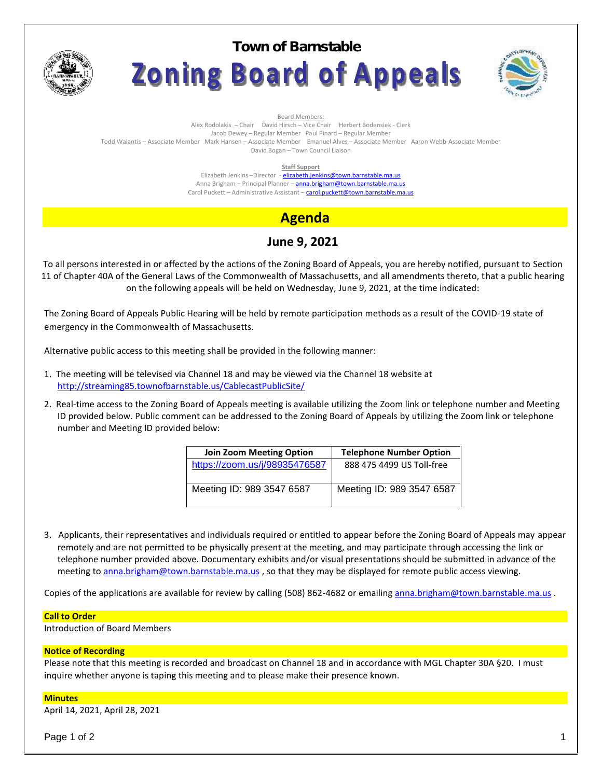

# **Town of BarnstableZoning Board of Appeals**



Board Members:

Alex Rodolakis – Chair David Hirsch – Vice Chair Herbert Bodensiek - Clerk Jacob Dewey – Regular Member Paul Pinard – Regular Member

Todd Walantis – Associate Member Mark Hansen – Associate Member Emanuel Alves – Associate Member Aaron Webb-Associate Member David Bogan – Town Council Liaison

**Staff Support**

Elizabeth Jenkins -Director - elizabeth.jenkins@town.barnstable.ma.us Anna Brigham – Principal Planner – **anna.brigham@town.barnstable.ma.us** Carol Puckett – Administrative Assistant – carol.puckett@town.barnstable.ma.us

# **Agenda**

## **June 9, 2021**

To all persons interested in or affected by the actions of the Zoning Board of Appeals, you are hereby notified, pursuant to Section 11 of Chapter 40A of the General Laws of the Commonwealth of Massachusetts, and all amendments thereto, that a public hearing on the following appeals will be held on Wednesday, June 9, 2021, at the time indicated:

The Zoning Board of Appeals Public Hearing will be held by remote participation methods as a result of the COVID-19 state of emergency in the Commonwealth of Massachusetts.

Alternative public access to this meeting shall be provided in the following manner:

- 1. The meeting will be televised via Channel 18 and may be viewed via the Channel 18 website at http://streaming85.townofbarnstable.us/CablecastPublicSite/
- 2. Real-time access to the Zoning Board of Appeals meeting is available utilizing the Zoom link or telephone number and Meeting ID provided below. Public comment can be addressed to the Zoning Board of Appeals by utilizing the Zoom link or telephone number and Meeting ID provided below:

| <b>Join Zoom Meeting Option</b> | <b>Telephone Number Option</b> |
|---------------------------------|--------------------------------|
| https://zoom.us/j/98935476587   | 888 475 4499 US Toll-free      |
| Meeting ID: 989 3547 6587       | Meeting ID: 989 3547 6587      |

3. Applicants, their representatives and individuals required or entitled to appear before the Zoning Board of Appeals may appear remotely and are not permitted to be physically present at the meeting, and may participate through accessing the link or telephone number provided above. Documentary exhibits and/or visual presentations should be submitted in advance of the meeting to anna.brigham@town.barnstable.ma.us, so that they may be displayed for remote public access viewing.

Copies of the applications are available for review by calling (508) 862-4682 or emailing anna.brigham@town.barnstable.ma.us .

### **Call to Order**

Introduction of Board Members

### **Notice of Recording**

Please note that this meeting is recorded and broadcast on Channel 18 and in accordance with MGL Chapter 30A §20. I must inquire whether anyone is taping this meeting and to please make their presence known.

### **Minutes**

April 14, 2021, April 28, 2021

Page 1 of 2  $\qquad \qquad \qquad$  1  $\qquad \qquad$